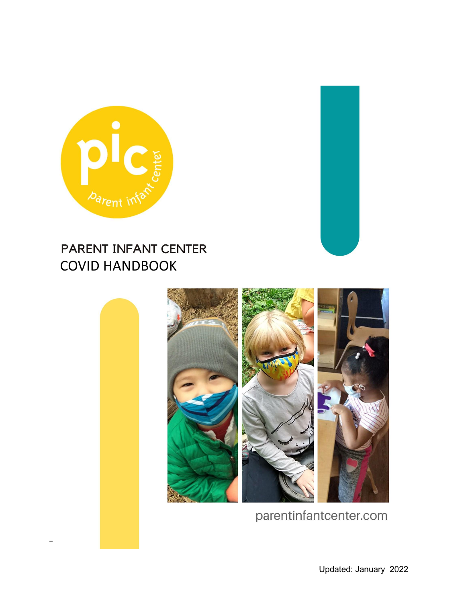

# PARENT INFANT CENTER COVID HANDBOOK



parentinfantcenter.com

Updated: January 2022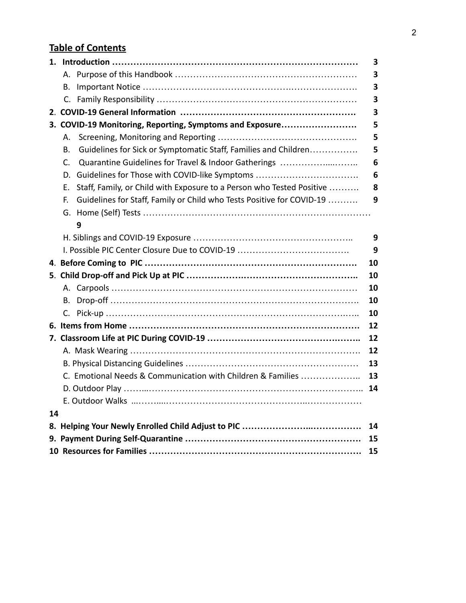# **Table of Contents**

|                                                          |    |                                                                       | 3  |
|----------------------------------------------------------|----|-----------------------------------------------------------------------|----|
|                                                          | А. |                                                                       | 3  |
|                                                          | В. |                                                                       | 3  |
|                                                          | C. |                                                                       | 3  |
|                                                          |    |                                                                       | 3  |
| 3. COVID-19 Monitoring, Reporting, Symptoms and Exposure |    |                                                                       | 5  |
|                                                          | А. |                                                                       | 5  |
|                                                          | Β. | Guidelines for Sick or Symptomatic Staff, Families and Children       | 5  |
|                                                          | C. | Quarantine Guidelines for Travel & Indoor Gatherings                  | 6  |
|                                                          | D. | Guidelines for Those with COVID-like Symptoms                         | 6  |
|                                                          | Е. | Staff, Family, or Child with Exposure to a Person who Tested Positive | 8  |
|                                                          | F. | Guidelines for Staff, Family or Child who Tests Positive for COVID-19 | 9  |
|                                                          |    |                                                                       |    |
|                                                          |    | 9                                                                     |    |
|                                                          |    |                                                                       | 9  |
|                                                          |    | 9                                                                     |    |
|                                                          |    |                                                                       | 10 |
|                                                          |    |                                                                       | 10 |
|                                                          |    |                                                                       | 10 |
|                                                          | В. |                                                                       | 10 |
|                                                          | C. |                                                                       | 10 |
|                                                          |    |                                                                       | 12 |
|                                                          |    |                                                                       | 12 |
|                                                          |    |                                                                       | 12 |
|                                                          |    |                                                                       | 13 |
|                                                          |    | C. Emotional Needs & Communication with Children & Families           | 13 |
|                                                          |    |                                                                       | 14 |
|                                                          |    |                                                                       |    |
| 14                                                       |    |                                                                       |    |
|                                                          |    |                                                                       | 14 |
|                                                          |    |                                                                       | 15 |
|                                                          |    |                                                                       | 15 |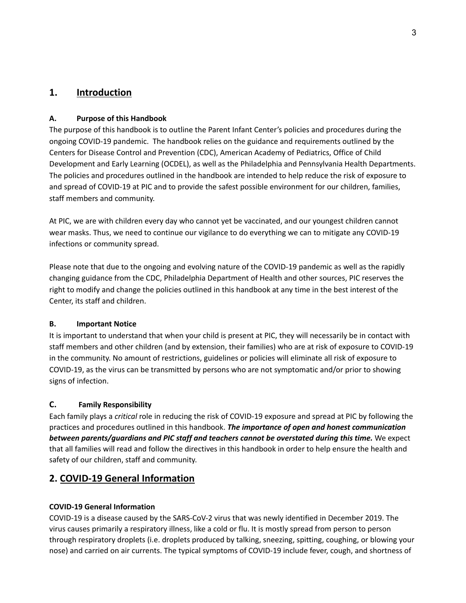# **1. Introduction**

#### **A. Purpose of this Handbook**

The purpose of this handbook is to outline the Parent Infant Center's policies and procedures during the ongoing COVID-19 pandemic. The handbook relies on the guidance and requirements outlined by the Centers for Disease Control and Prevention (CDC), American Academy of Pediatrics, Office of Child Development and Early Learning (OCDEL), as well as the Philadelphia and Pennsylvania Health Departments. The policies and procedures outlined in the handbook are intended to help reduce the risk of exposure to and spread of COVID-19 at PIC and to provide the safest possible environment for our children, families, staff members and community.

At PIC, we are with children every day who cannot yet be vaccinated, and our youngest children cannot wear masks. Thus, we need to continue our vigilance to do everything we can to mitigate any COVID-19 infections or community spread.

Please note that due to the ongoing and evolving nature of the COVID-19 pandemic as well as the rapidly changing guidance from the CDC, Philadelphia Department of Health and other sources, PIC reserves the right to modify and change the policies outlined in this handbook at any time in the best interest of the Center, its staff and children.

#### **B. Important Notice**

It is important to understand that when your child is present at PIC, they will necessarily be in contact with staff members and other children (and by extension, their families) who are at risk of exposure to COVID-19 in the community. No amount of restrictions, guidelines or policies will eliminate all risk of exposure to COVID-19, as the virus can be transmitted by persons who are not symptomatic and/or prior to showing signs of infection.

## **C. Family Responsibility**

Each family plays a *critical* role in reducing the risk of COVID-19 exposure and spread at PIC by following the practices and procedures outlined in this handbook. *The importance of open and honest communication between parents/guardians and PIC staff and teachers cannot be overstated during this time.* We expect that all families will read and follow the directives in this handbook in order to help ensure the health and safety of our children, staff and community.

# **2. COVID-19 General Information**

#### **COVID-19 General Information**

COVID-19 is a disease caused by the SARS-CoV-2 virus that was newly identified in December 2019. The virus causes primarily a respiratory illness, like a cold or flu. It is mostly spread from person to person through respiratory droplets (i.e. droplets produced by talking, sneezing, spitting, coughing, or blowing your nose) and carried on air currents. The typical symptoms of COVID-19 include fever, cough, and shortness of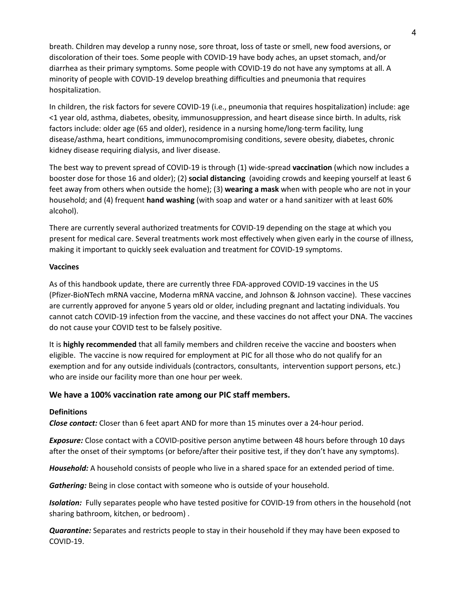breath. Children may develop a runny nose, sore throat, loss of taste or smell, new food aversions, or discoloration of their toes. Some people with COVID-19 have body aches, an upset stomach, and/or diarrhea as their primary symptoms. Some people with COVID-19 do not have any symptoms at all. A minority of people with COVID-19 develop breathing difficulties and pneumonia that requires hospitalization.

In children, the risk factors for severe COVID-19 (i.e., pneumonia that requires hospitalization) include: age <1 year old, asthma, diabetes, obesity, immunosuppression, and heart disease since birth. In adults, risk factors include: older age (65 and older), residence in a nursing home/long-term facility, lung disease/asthma, heart conditions, immunocompromising conditions, severe obesity, diabetes, chronic kidney disease requiring dialysis, and liver disease.

The best way to prevent spread of COVID-19 is through (1) wide-spread **vaccination** (which now includes a booster dose for those 16 and older); (2) **social distancing** (avoiding crowds and keeping yourself at least 6 feet away from others when outside the home); (3) **wearing a mask** when with people who are not in your household; and (4) frequent **hand washing** (with soap and water or a hand sanitizer with at least 60% alcohol).

There are currently several authorized treatments for COVID-19 depending on the stage at which you present for medical care. Several treatments work most effectively when given early in the course of illness, making it important to quickly seek evaluation and treatment for COVID-19 symptoms.

#### **Vaccines**

As of this handbook update, there are currently three FDA-approved COVID-19 vaccines in the US (Pfizer-BioNTech mRNA vaccine, Moderna mRNA vaccine, and Johnson & Johnson vaccine). These vaccines are currently approved for anyone 5 years old or older, including pregnant and lactating individuals. You cannot catch COVID-19 infection from the vaccine, and these vaccines do not affect your DNA. The vaccines do not cause your COVID test to be falsely positive.

It is **highly recommended** that all family members and children receive the vaccine and boosters when eligible. The vaccine is now required for employment at PIC for all those who do not qualify for an exemption and for any outside individuals (contractors, consultants, intervention support persons, etc.) who are inside our facility more than one hour per week.

#### **We have a 100% vaccination rate among our PIC staff members.**

#### **Definitions**

*Close contact:* Closer than 6 feet apart AND for more than 15 minutes over a 24-hour period.

*Exposure:* Close contact with a COVID-positive person anytime between 48 hours before through 10 days after the onset of their symptoms (or before/after their positive test, if they don't have any symptoms).

*Household:* A household consists of people who live in a shared space for an extended period of time.

*Gathering:* Being in close contact with someone who is outside of your household.

*Isolation:* Fully separates people who have tested positive for COVID-19 from others in the household (not sharing bathroom, kitchen, or bedroom) .

*Quarantine:* Separates and restricts people to stay in their household if they may have been exposed to COVID-19.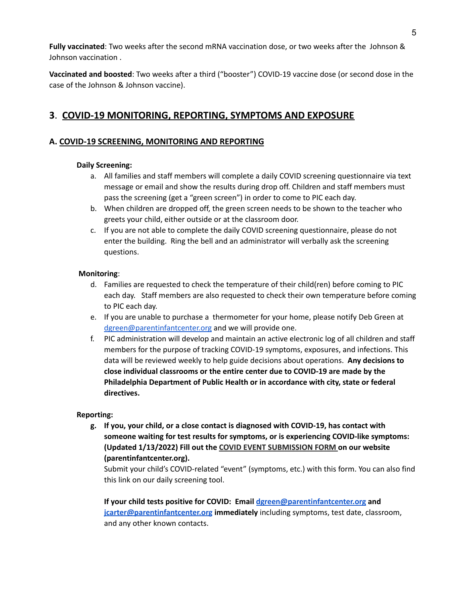**Fully vaccinated**: Two weeks after the second mRNA vaccination dose, or two weeks after the Johnson & Johnson vaccination .

**Vaccinated and boosted**: Two weeks after a third ("booster") COVID-19 vaccine dose (or second dose in the case of the Johnson & Johnson vaccine).

# **3**. **COVID-19 MONITORING, REPORTING, SYMPTOMS AND EXPOSURE**

## **A. COVID-19 SCREENING, MONITORING AND REPORTING**

#### **Daily Screening:**

- a. All families and staff members will complete a daily COVID screening questionnaire via text message or email and show the results during drop off. Children and staff members must pass the screening (get a "green screen") in order to come to PIC each day.
- b. When children are dropped off, the green screen needs to be shown to the teacher who greets your child, either outside or at the classroom door.
- c. If you are not able to complete the daily COVID screening questionnaire, please do not enter the building. Ring the bell and an administrator will verbally ask the screening questions.

#### **Monitoring**:

- d. Families are requested to check the temperature of their child(ren) before coming to PIC each day. Staff members are also requested to check their own temperature before coming to PIC each day.
- e. If you are unable to purchase a thermometer for your home, please notify Deb Green at [dgreen@parentinfantcenter.org](mailto:dgreen@parentinfantcenter.org) and we will provide one.
- f. PIC administration will develop and maintain an active electronic log of all children and staff members for the purpose of tracking COVID-19 symptoms, exposures, and infections. This data will be reviewed weekly to help guide decisions about operations. **Any decisions to close individual classrooms or the entire center due to COVID-19 are made by the Philadelphia Department of Public Health or in accordance with city, state or federal directives.**

#### **Reporting:**

**g. If you, your child, or a close contact is diagnosed with COVID-19, has contact with someone waiting for test results for symptoms, or is experiencing COVID-like symptoms: (Updated 1/13/2022) Fill out the COVID EVENT [SUBMISSION](https://parentinfantcenter.org/covid-event-submission) FORM on our website (parentinfantcenter.org).**

Submit your child's COVID-related "event" (symptoms, etc.) with this form. You can also find this link on our daily screening tool.

**If your child tests positive for COVID: Email [dgreen@parentinfantcenter.org](mailto:dgreen@parentinfantcenter.org) and [jcarter@parentinfantcenter.org](mailto:jcarter@parentinfantcenter.org) immediately** including symptoms, test date, classroom, and any other known contacts.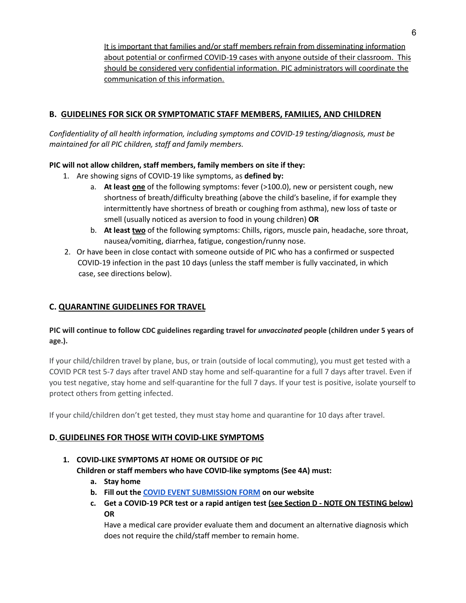It is important that families and/or staff members refrain from disseminating information about potential or confirmed COVID-19 cases with anyone outside of their classroom. This should be considered very confidential information. PIC administrators will coordinate the communication of this information.

## **B. GUIDELINES FOR SICK OR SYMPTOMATIC STAFF MEMBERS, FAMILIES, AND CHILDREN**

*Confidentiality of all health information, including symptoms and COVID-19 testing/diagnosis, must be maintained for all PIC children, staff and family members.*

## **PIC will not allow children, staff members, family members on site if they:**

- 1. Are showing signs of COVID-19 like symptoms, as **defined by:**
	- a. **At least one** of the following symptoms: fever (>100.0), new or persistent cough, new shortness of breath/difficulty breathing (above the child's baseline, if for example they intermittently have shortness of breath or coughing from asthma), new loss of taste or smell (usually noticed as aversion to food in young children) **OR**
	- b. **At least two** of the following symptoms: Chills, rigors, muscle pain, headache, sore throat, nausea/vomiting, diarrhea, fatigue, congestion/runny nose.
- 2. Or have been in close contact with someone outside of PIC who has a confirmed or suspected COVID-19 infection in the past 10 days (unless the staff member is fully vaccinated, in which case, see directions below).

#### **C. QUARANTINE GUIDELINES FOR TRAVEL**

#### **PIC will continue to follow CDC guidelines regarding travel for** *unvaccinated* **people (children under 5 years of age.).**

If your child/children travel by plane, bus, or train (outside of local commuting), you must get tested with a COVID PCR test 5-7 days after travel AND stay home and self-quarantine for a full 7 days after travel. Even if you test negative, stay home and self-quarantine for the full 7 days. If your test is positive, isolate yourself to protect others from getting infected.

If your child/children don't get tested, they must stay home and quarantine for 10 days after travel.

## **D. GUIDELINES FOR THOSE WITH COVID-LIKE SYMPTOMS**

# **1. COVID-LIKE SYMPTOMS AT HOME OR OUTSIDE OF PIC Children or staff members who have COVID-like symptoms (See 4A) must:**

- **a. Stay home**
- **b. Fill out the COVID EVENT [SUBMISSION](https://parentinfantcenter.org/covid-event-submission) FORM on our website**
- **c. Get a COVID-19 PCR test or a rapid antigen test (see Section D - NOTE ON TESTING below) OR**

Have a medical care provider evaluate them and document an alternative diagnosis which does not require the child/staff member to remain home.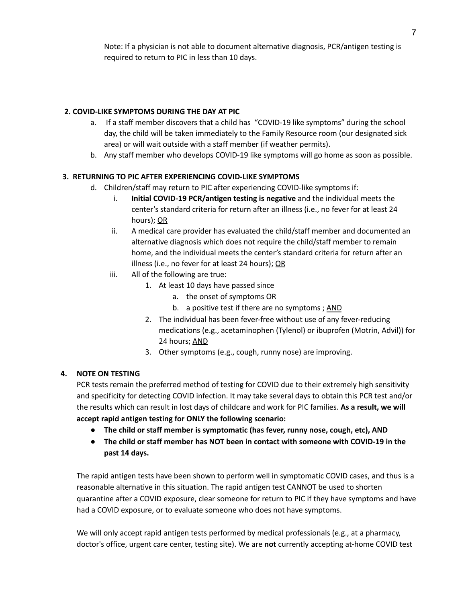Note: If a physician is not able to document alternative diagnosis, PCR/antigen testing is required to return to PIC in less than 10 days.

#### **2. COVID-LIKE SYMPTOMS DURING THE DAY AT PIC**

- a. If a staff member discovers that a child has "COVID-19 like symptoms" during the school day, the child will be taken immediately to the Family Resource room (our designated sick area) or will wait outside with a staff member (if weather permits).
- b. Any staff member who develops COVID-19 like symptoms will go home as soon as possible.

#### **3. RETURNING TO PIC AFTER EXPERIENCING COVID-LIKE SYMPTOMS**

- d. Children/staff may return to PIC after experiencing COVID-like symptoms if:
	- i. **Initial COVID-19 PCR/antigen testing is negative** and the individual meets the center's standard criteria for return after an illness (i.e., no fever for at least 24 hours); OR
	- ii. A medical care provider has evaluated the child/staff member and documented an alternative diagnosis which does not require the child/staff member to remain home, and the individual meets the center's standard criteria for return after an illness (i.e., no fever for at least 24 hours); OR
	- iii. All of the following are true:
		- 1. At least 10 days have passed since
			- a. the onset of symptoms OR
			- b. a positive test if there are no symptoms; AND
		- 2. The individual has been fever-free without use of any fever-reducing medications (e.g., acetaminophen (Tylenol) or ibuprofen (Motrin, Advil)) for 24 hours; AND
		- 3. Other symptoms (e.g., cough, runny nose) are improving.

#### **4. NOTE ON TESTING**

PCR tests remain the preferred method of testing for COVID due to their extremely high sensitivity and specificity for detecting COVID infection. It may take several days to obtain this PCR test and/or the results which can result in lost days of childcare and work for PIC families. **As a result, we will accept rapid antigen testing for ONLY the following scenario:**

- **● The child or staff member is symptomatic (has fever, runny nose, cough, etc), AND**
- **● The child or staff member has NOT been in contact with someone with COVID-19 in the past 14 days.**

The rapid antigen tests have been shown to perform well in symptomatic COVID cases, and thus is a reasonable alternative in this situation. The rapid antigen test CANNOT be used to shorten quarantine after a COVID exposure, clear someone for return to PIC if they have symptoms and have had a COVID exposure, or to evaluate someone who does not have symptoms.

We will only accept rapid antigen tests performed by medical professionals (e.g., at a pharmacy, doctor's office, urgent care center, testing site). We are **not** currently accepting at-home COVID test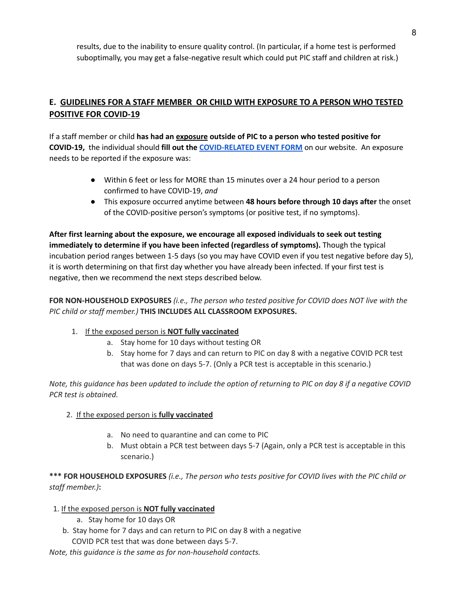results, due to the inability to ensure quality control. (In particular, if a home test is performed suboptimally, you may get a false-negative result which could put PIC staff and children at risk.)

# **E. GUIDELINES FOR A STAFF MEMBER OR CHILD WITH EXPOSURE TO A PERSON WHO TESTED POSITIVE FOR COVID-19**

If a staff member or child **has had an exposure outside of PIC to a person who tested positive for COVID-19,** the individual should **fill out the [COVID-RELATED](https://parentinfantcenter.org/covid-event-submission) EVENT FORM** on our website. An exposure needs to be reported if the exposure was:

- Within 6 feet or less for MORE than 15 minutes over a 24 hour period to a person confirmed to have COVID-19, *and*
- This exposure occurred anytime between **48 hours before through 10 days after** the onset of the COVID-positive person's symptoms (or positive test, if no symptoms).

**After first learning about the exposure, we encourage all exposed individuals to seek out testing immediately to determine if you have been infected (regardless of symptoms).** Though the typical incubation period ranges between 1-5 days (so you may have COVID even if you test negative before day 5), it is worth determining on that first day whether you have already been infected. If your first test is negative, then we recommend the next steps described below.

**FOR NON-HOUSEHOLD EXPOSURES** *(i.e., The person who tested positive for COVID does NOT live with the PIC child or staff member.)* **THIS INCLUDES ALL CLASSROOM EXPOSURES.**

- 1. If the exposed person is **NOT fully vaccinated**
	- a. Stay home for 10 days without testing OR
	- b. Stay home for 7 days and can return to PIC on day 8 with a negative COVID PCR test that was done on days 5-7. (Only a PCR test is acceptable in this scenario.)

Note, this guidance has been updated to include the option of returning to PIC on day 8 if a negative COVID *PCR test is obtained.*

#### 2. If the exposed person is **fully vaccinated**

- a. No need to quarantine and can come to PIC
- b. Must obtain a PCR test between days 5-7 (Again, only a PCR test is acceptable in this scenario.)

\*\*\* FOR HOUSEHOLD EXPOSURES (i.e., The person who tests positive for COVID lives with the PIC child or *staff member.)***:**

#### 1. If the exposed person is **NOT fully vaccinated**

- a. Stay home for 10 days OR
- b. Stay home for 7 days and can return to PIC on day 8 with a negative

COVID PCR test that was done between days 5-7.

*Note, this guidance is the same as for non-household contacts.*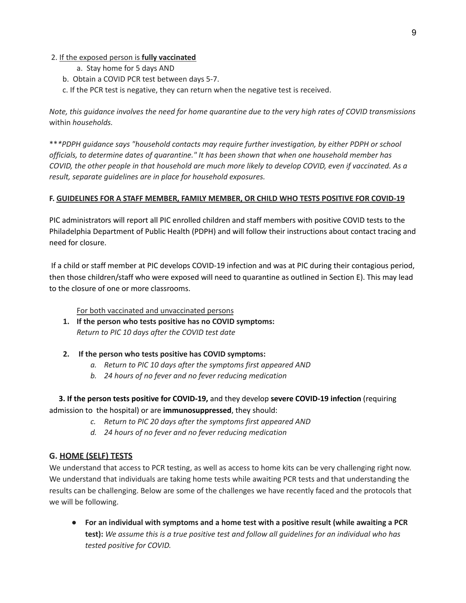#### 2. If the exposed person is **fully vaccinated**

- a. Stay home for 5 days AND
- b. Obtain a COVID PCR test between days 5-7.
- c. If the PCR test is negative, they can return when the negative test is received.

Note, this guidance involves the need for home quarantine due to the very high rates of COVID transmissions within *households.*

\*\**\*PDPH guidance says "household contacts may require further investigation, by either PDPH or school officials, to determine dates of quarantine." It has been shown that when one household member has* COVID, the other people in that household are much more likely to develop COVID, even if vaccinated. As a *result, separate guidelines are in place for household exposures.*

#### **F. GUIDELINES FOR A STAFF MEMBER, FAMILY MEMBER, OR CHILD WHO TESTS POSITIVE FOR COVID-19**

PIC administrators will report all PIC enrolled children and staff members with positive COVID tests to the Philadelphia Department of Public Health (PDPH) and will follow their instructions about contact tracing and need for closure.

If a child or staff member at PIC develops COVID-19 infection and was at PIC during their contagious period, then those children/staff who were exposed will need to quarantine as outlined in Section E). This may lead to the closure of one or more classrooms.

For both vaccinated and unvaccinated persons

- **1. If the person who tests positive has no COVID symptoms:** *Return to PIC 10 days after the COVID test date*
- **2. If the person who tests positive has COVID symptoms:**
	- *a. Return to PIC 10 days after the symptoms first appeared AND*
	- *b. 24 hours of no fever and no fever reducing medication*

**3. If the person tests positive for COVID-19,** and they develop **severe COVID-19 infection** (requiring admission to the hospital) or are **immunosuppressed**, they should:

- *c. Return to PIC 20 days after the symptoms first appeared AND*
- *d. 24 hours of no fever and no fever reducing medication*

#### **G. HOME (SELF) TESTS**

We understand that access to PCR testing, as well as access to home kits can be very challenging right now. We understand that individuals are taking home tests while awaiting PCR tests and that understanding the results can be challenging. Below are some of the challenges we have recently faced and the protocols that we will be following.

*●* **For an individual with symptoms and a home test with a positive result (while awaiting a PCR test):** *We assume this is a true positive test and follow all guidelines for an individual who has tested positive for COVID.*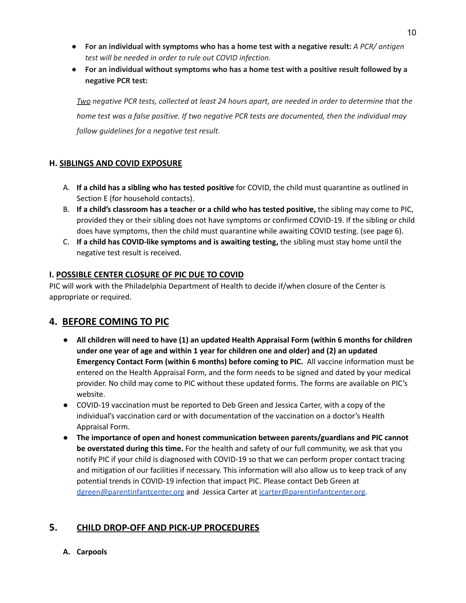- **● For an individual with symptoms who has a home test with a negative result:** *A PCR/ antigen test will be needed in order to rule out COVID infection.*
- **For an individual without symptoms who has a home test with a positive result followed by a negative PCR test:**

Two negative PCR tests, collected at least 24 hours apart, are needed in order to determine that the *home test was a false positive. If two negative PCR tests are documented, then the individual may follow guidelines for a negative test result.*

## **H. SIBLINGS AND COVID EXPOSURE**

- A. **If a child has a sibling who has tested positive** for COVID, the child must quarantine as outlined in Section E (for household contacts).
- B. **If a child's classroom has a teacher or a child who has tested positive,** the sibling may come to PIC, provided they or their sibling does not have symptoms or confirmed COVID-19. If the sibling or child does have symptoms, then the child must quarantine while awaiting COVID testing. (see page 6).
- C. **If a child has COVID-like symptoms and is awaiting testing,** the sibling must stay home until the negative test result is received.

## **I. POSSIBLE CENTER CLOSURE OF PIC DUE TO COVID**

PIC will work with the Philadelphia Department of Health to decide if/when closure of the Center is appropriate or required.

# **4. BEFORE COMING TO PIC**

- **All children will need to have (1) an updated Health Appraisal Form (within 6 months for children under one year of age and within 1 year for children one and older) and (2) an updated Emergency Contact Form (within 6 months) before coming to PIC.** All vaccine information must be entered on the Health Appraisal Form, and the form needs to be signed and dated by your medical provider. No child may come to PIC without these updated forms. The forms are available on PIC's website.
- COVID-19 vaccination must be reported to Deb Green and Jessica Carter, with a copy of the individual's vaccination card or with documentation of the vaccination on a doctor's Health Appraisal Form.
- **The importance of open and honest communication between parents/guardians and PIC cannot be overstated during this time.** For the health and safety of our full community, we ask that you notify PIC if your child is diagnosed with COVID-19 so that we can perform proper contact tracing and mitigation of our facilities if necessary. This information will also allow us to keep track of any potential trends in COVID-19 infection that impact PIC. Please contact Deb Green at [dgreen@parentinfantcenter.org](mailto:dgreen@parentinfantcenter.org) and Jessica Carter at [jcarter@parentinfantcenter.org](mailto:jcarter@parentinfantcenter.org).

# **5. CHILD DROP-OFF AND PICK-UP PROCEDURES**

**A. Carpools**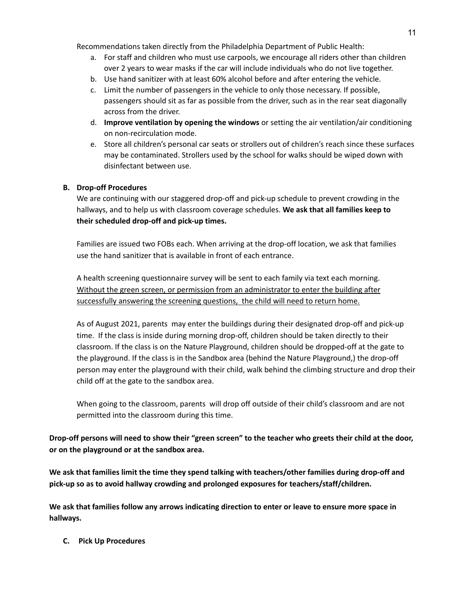Recommendations taken directly from the Philadelphia Department of Public Health:

- a. For staff and children who must use carpools, we encourage all riders other than children over 2 years to wear masks if the car will include individuals who do not live together.
- b. Use hand sanitizer with at least 60% alcohol before and after entering the vehicle.
- c. Limit the number of passengers in the vehicle to only those necessary. If possible, passengers should sit as far as possible from the driver, such as in the rear seat diagonally across from the driver.
- d. **Improve ventilation by opening the windows** or setting the air ventilation/air conditioning on non-recirculation mode.
- e. Store all children's personal car seats or strollers out of children's reach since these surfaces may be contaminated. Strollers used by the school for walks should be wiped down with disinfectant between use.

#### **B. Drop-off Procedures**

We are continuing with our staggered drop-off and pick-up schedule to prevent crowding in the hallways, and to help us with classroom coverage schedules. **We ask that all families keep to their scheduled drop-off and pick-up times.**

Families are issued two FOBs each. When arriving at the drop-off location, we ask that families use the hand sanitizer that is available in front of each entrance.

A health screening questionnaire survey will be sent to each family via text each morning. Without the green screen, or permission from an administrator to enter the building after successfully answering the screening questions, the child will need to return home.

As of August 2021, parents may enter the buildings during their designated drop-off and pick-up time. If the class is inside during morning drop-off, children should be taken directly to their classroom. If the class is on the Nature Playground, children should be dropped-off at the gate to the playground. If the class is in the Sandbox area (behind the Nature Playground,) the drop-off person may enter the playground with their child, walk behind the climbing structure and drop their child off at the gate to the sandbox area.

When going to the classroom, parents will drop off outside of their child's classroom and are not permitted into the classroom during this time.

Drop-off persons will need to show their "green screen" to the teacher who greets their child at the door, **or on the playground or at the sandbox area.**

**We ask that families limit the time they spend talking with teachers/other families during drop-off and pick-up so as to avoid hallway crowding and prolonged exposures for teachers/staff/children.**

We ask that families follow any arrows indicating direction to enter or leave to ensure more space in **hallways.**

**C. Pick Up Procedures**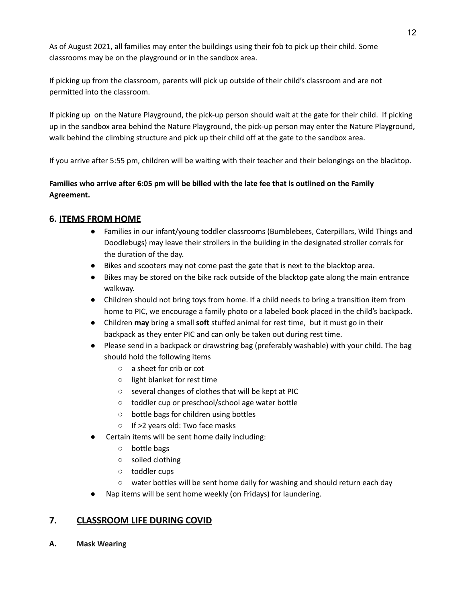As of August 2021, all families may enter the buildings using their fob to pick up their child. Some classrooms may be on the playground or in the sandbox area.

If picking up from the classroom, parents will pick up outside of their child's classroom and are not permitted into the classroom.

If picking up on the Nature Playground, the pick-up person should wait at the gate for their child. If picking up in the sandbox area behind the Nature Playground, the pick-up person may enter the Nature Playground, walk behind the climbing structure and pick up their child off at the gate to the sandbox area.

If you arrive after 5:55 pm, children will be waiting with their teacher and their belongings on the blacktop.

## Families who arrive after 6:05 pm will be billed with the late fee that is outlined on the Family **Agreement.**

# **6. ITEMS FROM HOME**

- **●** Families in our infant/young toddler classrooms (Bumblebees, Caterpillars, Wild Things and Doodlebugs) may leave their strollers in the building in the designated stroller corrals for the duration of the day.
- Bikes and scooters may not come past the gate that is next to the blacktop area.
- Bikes may be stored on the bike rack outside of the blacktop gate along the main entrance walkway.
- Children should not bring toys from home. If a child needs to bring a transition item from home to PIC, we encourage a family photo or a labeled book placed in the child's backpack.
- Children **may** bring a small **soft** stuffed animal for rest time, but it must go in their backpack as they enter PIC and can only be taken out during rest time.
- Please send in a backpack or drawstring bag (preferably washable) with your child. The bag should hold the following items
	- a sheet for crib or cot
	- light blanket for rest time
	- several changes of clothes that will be kept at PIC
	- toddler cup or preschool/school age water bottle
	- **○** bottle bags for children using bottles
	- If >2 years old: Two face masks
- Certain items will be sent home daily including:
	- bottle bags
	- soiled clothing
	- toddler cups
	- water bottles will be sent home daily for washing and should return each day
- Nap items will be sent home weekly (on Fridays) for laundering.

## **7. CLASSROOM LIFE DURING COVID**

**A. Mask Wearing**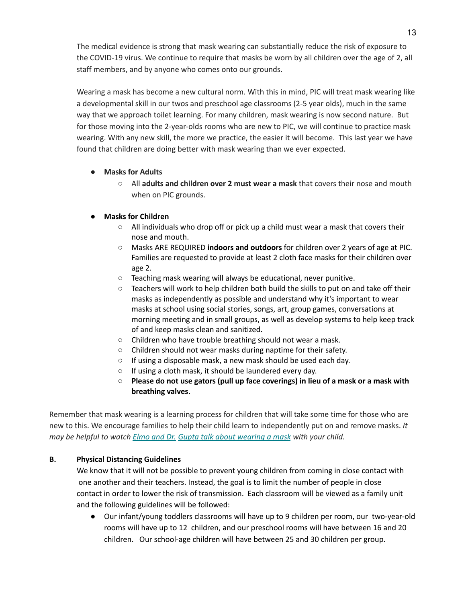The medical evidence is strong that mask wearing can substantially reduce the risk of exposure to the COVID-19 virus. We continue to require that masks be worn by all children over the age of 2, all staff members, and by anyone who comes onto our grounds.

Wearing a mask has become a new cultural norm. With this in mind, PIC will treat mask wearing like a developmental skill in our twos and preschool age classrooms (2-5 year olds), much in the same way that we approach toilet learning. For many children, mask wearing is now second nature. But for those moving into the 2-year-olds rooms who are new to PIC, we will continue to practice mask wearing. With any new skill, the more we practice, the easier it will become. This last year we have found that children are doing better with mask wearing than we ever expected.

#### **● Masks for Adults**

○ All **adults and children over 2 must wear a mask** that covers their nose and mouth when on PIC grounds.

#### **● Masks for Children**

- **○** All individuals who drop off or pick up a child must wear a mask that covers their nose and mouth.
- **○** Masks ARE REQUIRED **indoors and outdoors** for children over 2 years of age at PIC. Families are requested to provide at least 2 cloth face masks for their children over age 2.
- **○** Teaching mask wearing will always be educational, never punitive.
- **○** Teachers will work to help children both build the skills to put on and take off their masks as independently as possible and understand why it's important to wear masks at school using social stories, songs, art, group games, conversations at morning meeting and in small groups, as well as develop systems to help keep track of and keep masks clean and sanitized.
- **○** Children who have trouble breathing should not wear a mask.
- **○** Children should not wear masks during naptime for their safety.
- **○** If using a disposable mask, a new mask should be used each day.
- **○** If using a cloth mask, it should be laundered every day.
- **○ Please do not use gators (pull up face coverings) in lieu of a mask or a mask with breathing valves.**

Remember that mask wearing is a learning process for children that will take some time for those who are new to this. We encourage families to help their child learn to independently put on and remove masks. *It may be helpful to watch Elmo and Dr. Gupta talk about [wearing](https://parentinfantcenter.us20.list-manage.com/track/click?u=21ba69ddd78283b8ad842cf5c&id=ac62fe605b&e=d69988e189) a mask with your child.*

#### **B. Physical Distancing Guidelines**

We know that it will not be possible to prevent young children from coming in close contact with one another and their teachers. Instead, the goal is to limit the number of people in close contact in order to lower the risk of transmission. Each classroom will be viewed as a family unit and the following guidelines will be followed:

● Our infant/young toddlers classrooms will have up to 9 children per room, our two-year-old rooms will have up to 12 children, and our preschool rooms will have between 16 and 20 children. Our school-age children will have between 25 and 30 children per group.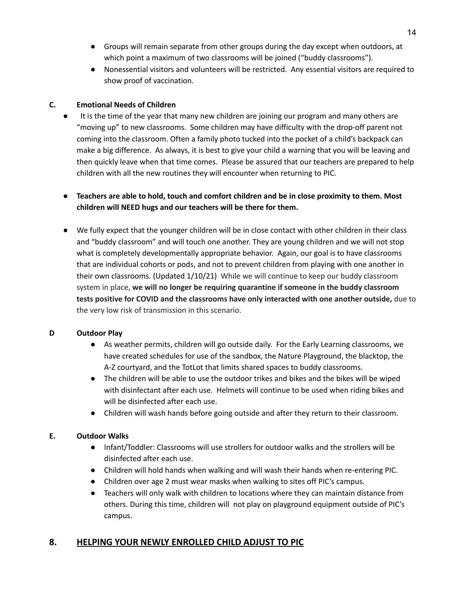- Groups will remain separate from other groups during the day except when outdoors, at which point a maximum of two classrooms will be joined ("buddy classrooms").
- Nonessential visitors and volunteers will be restricted. Any essential visitors are required to show proof of vaccination.

#### **C. Emotional Needs of Children**

It is the time of the year that many new children are joining our program and many others are "moving up" to new classrooms. Some children may have difficulty with the drop-off parent not coming into the classroom. Often a family photo tucked into the pocket of a child's backpack can make a big difference. As always, it is best to give your child a warning that you will be leaving and then quickly leave when that time comes. Please be assured that our teachers are prepared to help children with all the new routines they will encounter when returning to PIC.

## **● Teachers are able to hold, touch and comfort children and be in close proximity to them. Most children will NEED hugs and our teachers will be there for them.**

● We fully expect that the younger children will be in close contact with other children in their class and "buddy classroom" and will touch one another. They are young children and we will not stop what is completely developmentally appropriate behavior. Again, our goal is to have classrooms that are individual cohorts or pods, and not to prevent children from playing with one another in their own classrooms. (Updated 1/10/21) While we will continue to keep our buddy classroom system in place, **we will no longer be requiring quarantine if someone in the buddy classroom tests positive for COVID and the classrooms have only interacted with one another outside,** due to the very low risk of transmission in this scenario.

## **D Outdoor Play**

- **●** As weather permits, children will go outside daily. For the Early Learning classrooms, we have created schedules for use of the sandbox, the Nature Playground, the blacktop, the A-Z courtyard, and the TotLot that limits shared spaces to buddy classrooms.
- The children will be able to use the outdoor trikes and bikes and the bikes will be wiped with disinfectant after each use. Helmets will continue to be used when riding bikes and will be disinfected after each use.
- Children will wash hands before going outside and after they return to their classroom.

## **E. Outdoor Walks**

- Infant/Toddler: Classrooms will use strollers for outdoor walks and the strollers will be disinfected after each use.
- Children will hold hands when walking and will wash their hands when re-entering PIC.
- Children over age 2 must wear masks when walking to sites off PIC's campus.
- Teachers will only walk with children to locations where they can maintain distance from others. During this time, children will not play on playground equipment outside of PIC's campus.

# **8. HELPING YOUR NEWLY ENROLLED CHILD ADJUST TO PIC**